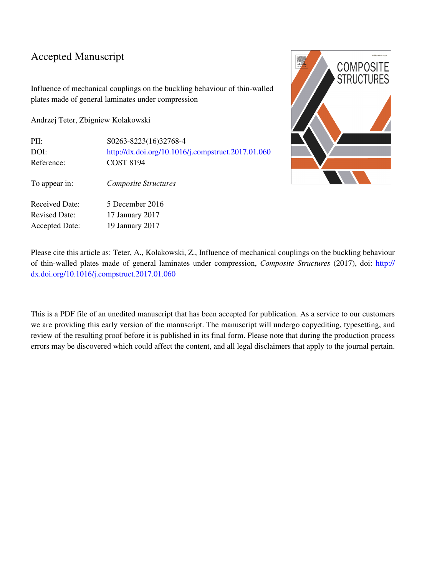# Accepted Manuscript

Influence of mechanical couplings on the buckling behaviour of thin-walled plates made of general laminates under compression

Andrzej Teter, Zbigniew Kolakowski

| PII:                  | S0263-8223(16)32768-4                              |
|-----------------------|----------------------------------------------------|
| DOI:                  | http://dx.doi.org/10.1016/j.compstruct.2017.01.060 |
| Reference:            | <b>COST 8194</b>                                   |
| To appear in:         | <b>Composite Structures</b>                        |
| <b>Received Date:</b> | 5 December 2016                                    |
| <b>Revised Date:</b>  | 17 January 2017                                    |
| <b>Accepted Date:</b> | 19 January 2017                                    |



Please cite this article as: Teter, A., Kolakowski, Z., Influence of mechanical couplings on the buckling behaviour of thin-walled plates made of general laminates under compression, *Composite Structures* (2017), doi: [http://](http://dx.doi.org/10.1016/j.compstruct.2017.01.060) [dx.doi.org/10.1016/j.compstruct.2017.01.060](http://dx.doi.org/10.1016/j.compstruct.2017.01.060)

This is a PDF file of an unedited manuscript that has been accepted for publication. As a service to our customers we are providing this early version of the manuscript. The manuscript will undergo copyediting, typesetting, and review of the resulting proof before it is published in its final form. Please note that during the production process errors may be discovered which could affect the content, and all legal disclaimers that apply to the journal pertain.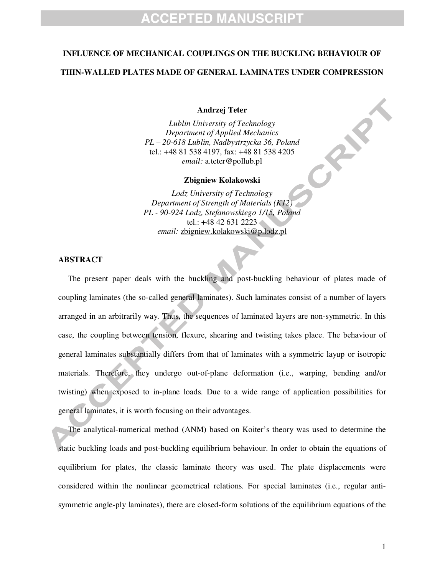#### **INFLUENCE OF MECHANICAL COUPLINGS ON THE BUCKLING BEHAVIOUR OF**

### **THIN-WALLED PLATES MADE OF GENERAL LAMINATES UNDER COMPRESSION**

**Andrzej Teter**

*Lublin University of Technology Department of Applied Mechanics PL – 20-618 Lublin, Nadbystrzycka 36, Poland*  tel.: +48 81 538 4197, fax: +48 81 538 4205 *email:* a.teter@pollub.pl

#### **Zbigniew Kolakowski**

*Lodz University of Technology Department of Strength of Materials (K12) PL - 90-924 Lodz, Stefanowskiego 1/15, Poland*  tel.: +48 42 631 2223 *email:* zbigniew.kolakowski@p.lodz.pl

## **ABSTRACT**

The present paper deals with the buckling and post-buckling behaviour of plates made of coupling laminates (the so-called general laminates). Such laminates consist of a number of layers arranged in an arbitrarily way. Thus, the sequences of laminated layers are non-symmetric. In this case, the coupling between tension, flexure, shearing and twisting takes place. The behaviour of general laminates substantially differs from that of laminates with a symmetric layup or isotropic materials. Therefore, they undergo out-of-plane deformation (i.e., warping, bending and/or twisting) when exposed to in-plane loads. Due to a wide range of application possibilities for general laminates, it is worth focusing on their advantages.

The analytical-numerical method (ANM) based on Koiter's theory was used to determine the static buckling loads and post-buckling equilibrium behaviour. In order to obtain the equations of equilibrium for plates, the classic laminate theory was used. The plate displacements were considered within the nonlinear geometrical relations. For special laminates (i.e., regular antisymmetric angle-ply laminates), there are closed-form solutions of the equilibrium equations of the